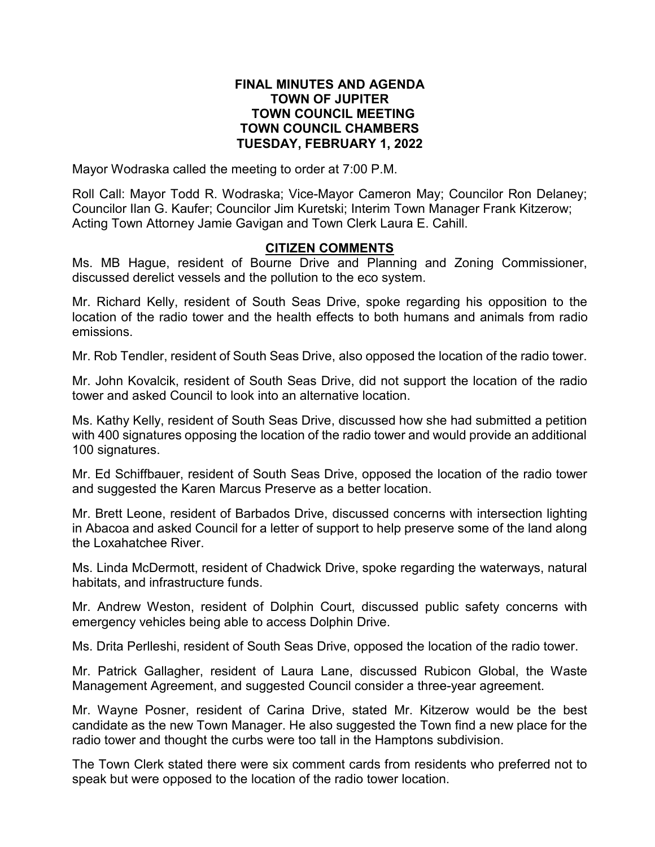### **FINAL MINUTES AND AGENDA TOWN OF JUPITER TOWN COUNCIL MEETING TOWN COUNCIL CHAMBERS TUESDAY, FEBRUARY 1, 2022**

Mayor Wodraska called the meeting to order at 7:00 P.M.

Roll Call: Mayor Todd R. Wodraska; Vice-Mayor Cameron May; Councilor Ron Delaney; Councilor Ilan G. Kaufer; Councilor Jim Kuretski; Interim Town Manager Frank Kitzerow; Acting Town Attorney Jamie Gavigan and Town Clerk Laura E. Cahill.

### **CITIZEN COMMENTS**

Ms. MB Hague, resident of Bourne Drive and Planning and Zoning Commissioner, discussed derelict vessels and the pollution to the eco system.

Mr. Richard Kelly, resident of South Seas Drive, spoke regarding his opposition to the location of the radio tower and the health effects to both humans and animals from radio emissions.

Mr. Rob Tendler, resident of South Seas Drive, also opposed the location of the radio tower.

Mr. John Kovalcik, resident of South Seas Drive, did not support the location of the radio tower and asked Council to look into an alternative location.

Ms. Kathy Kelly, resident of South Seas Drive, discussed how she had submitted a petition with 400 signatures opposing the location of the radio tower and would provide an additional 100 signatures.

Mr. Ed Schiffbauer, resident of South Seas Drive, opposed the location of the radio tower and suggested the Karen Marcus Preserve as a better location.

Mr. Brett Leone, resident of Barbados Drive, discussed concerns with intersection lighting in Abacoa and asked Council for a letter of support to help preserve some of the land along the Loxahatchee River.

Ms. Linda McDermott, resident of Chadwick Drive, spoke regarding the waterways, natural habitats, and infrastructure funds.

Mr. Andrew Weston, resident of Dolphin Court, discussed public safety concerns with emergency vehicles being able to access Dolphin Drive.

Ms. Drita Perlleshi, resident of South Seas Drive, opposed the location of the radio tower.

Mr. Patrick Gallagher, resident of Laura Lane, discussed Rubicon Global, the Waste Management Agreement, and suggested Council consider a three-year agreement.

Mr. Wayne Posner, resident of Carina Drive, stated Mr. Kitzerow would be the best candidate as the new Town Manager. He also suggested the Town find a new place for the radio tower and thought the curbs were too tall in the Hamptons subdivision.

The Town Clerk stated there were six comment cards from residents who preferred not to speak but were opposed to the location of the radio tower location.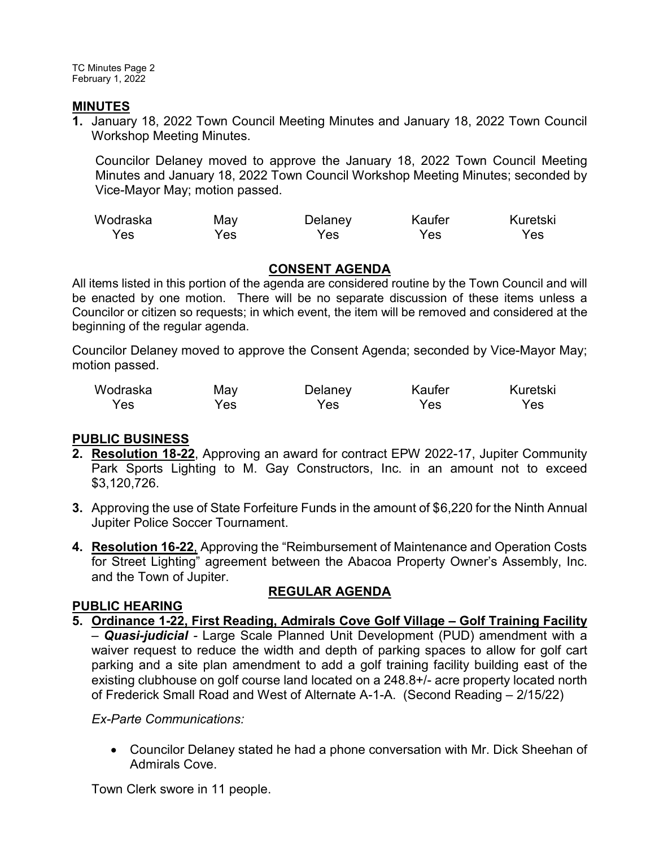TC Minutes Page 2 February 1, 2022

### **MINUTES**

**1.** January 18, 2022 Town Council Meeting Minutes and January 18, 2022 Town Council Workshop Meeting Minutes.

Councilor Delaney moved to approve the January 18, 2022 Town Council Meeting Minutes and January 18, 2022 Town Council Workshop Meeting Minutes; seconded by Vice-Mayor May; motion passed.

| Wodraska | May | Delaney | Kaufer | Kuretski |
|----------|-----|---------|--------|----------|
| Yes      | res | Yes     | Yes.   | Yes:     |

# **CONSENT AGENDA**

All items listed in this portion of the agenda are considered routine by the Town Council and will be enacted by one motion. There will be no separate discussion of these items unless a Councilor or citizen so requests; in which event, the item will be removed and considered at the beginning of the regular agenda.

Councilor Delaney moved to approve the Consent Agenda; seconded by Vice-Mayor May; motion passed.

| Wodraska | May | Delaney | Kaufer | Kuretski |
|----------|-----|---------|--------|----------|
| Yes      | Yes | Yes     | Yes    | Yes.     |

# **PUBLIC BUSINESS**

- **2. Resolution 18-22**, Approving an award for contract EPW 2022-17, Jupiter Community Park Sports Lighting to M. Gay Constructors, Inc. in an amount not to exceed \$3,120,726.
- **3.** Approving the use of State Forfeiture Funds in the amount of \$6,220 for the Ninth Annual Jupiter Police Soccer Tournament.
- **4. Resolution 16-22**, Approving the "Reimbursement of Maintenance and Operation Costs for Street Lighting" agreement between the Abacoa Property Owner's Assembly, Inc. and the Town of Jupiter.

# **REGULAR AGENDA**

# **PUBLIC HEARING**

**5. Ordinance 1-22, First Reading, Admirals Cove Golf Village – Golf Training Facility**  – *Quasi-judicial -* Large Scale Planned Unit Development (PUD) amendment with a waiver request to reduce the width and depth of parking spaces to allow for golf cart parking and a site plan amendment to add a golf training facility building east of the existing clubhouse on golf course land located on a 248.8+/- acre property located north of Frederick Small Road and West of Alternate A-1-A. (Second Reading – 2/15/22)

*Ex-Parte Communications:*

· Councilor Delaney stated he had a phone conversation with Mr. Dick Sheehan of Admirals Cove.

Town Clerk swore in 11 people.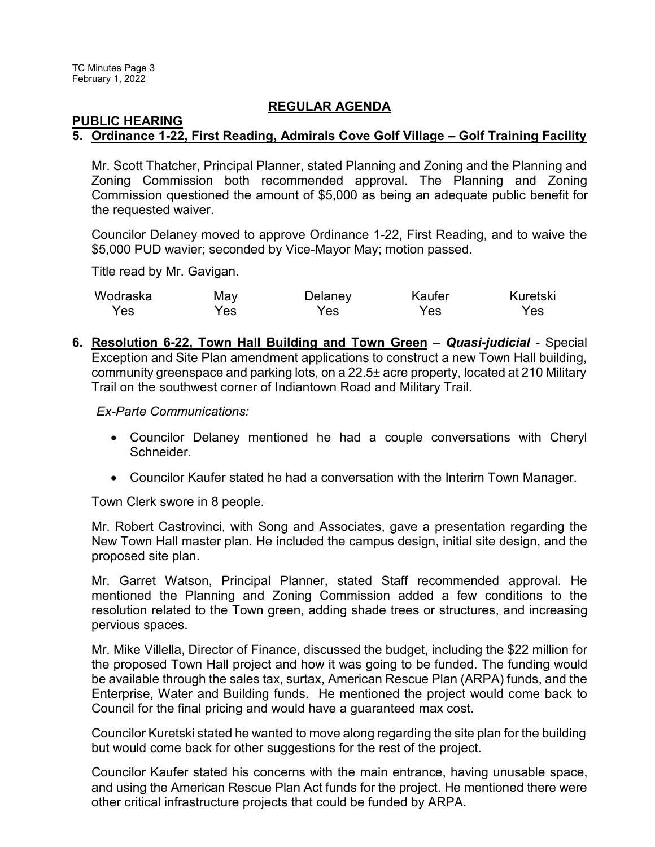#### **REGULAR AGENDA**

### **PUBLIC HEARING 5. Ordinance 1-22, First Reading, Admirals Cove Golf Village – Golf Training Facility**

Mr. Scott Thatcher, Principal Planner, stated Planning and Zoning and the Planning and Zoning Commission both recommended approval. The Planning and Zoning Commission questioned the amount of \$5,000 as being an adequate public benefit for the requested waiver.

Councilor Delaney moved to approve Ordinance 1-22, First Reading, and to waive the \$5,000 PUD wavier; seconded by Vice-Mayor May; motion passed.

Title read by Mr. Gavigan.

| Wodraska | May | Delaney | Kaufer | Kuretski |
|----------|-----|---------|--------|----------|
| Yes      | Yes | Yes.    | Yes    | Yes      |

**6. Resolution 6-22, Town Hall Building and Town Green** – *Quasi-judicial -* Special Exception and Site Plan amendment applications to construct a new Town Hall building, community greenspace and parking lots, on a 22.5± acre property, located at 210 Military Trail on the southwest corner of Indiantown Road and Military Trail.

*Ex-Parte Communications:*

- · Councilor Delaney mentioned he had a couple conversations with Cheryl Schneider.
- · Councilor Kaufer stated he had a conversation with the Interim Town Manager.

Town Clerk swore in 8 people.

Mr. Robert Castrovinci, with Song and Associates, gave a presentation regarding the New Town Hall master plan. He included the campus design, initial site design, and the proposed site plan.

Mr. Garret Watson, Principal Planner, stated Staff recommended approval. He mentioned the Planning and Zoning Commission added a few conditions to the resolution related to the Town green, adding shade trees or structures, and increasing pervious spaces.

Mr. Mike Villella, Director of Finance, discussed the budget, including the \$22 million for the proposed Town Hall project and how it was going to be funded. The funding would be available through the sales tax, surtax, American Rescue Plan (ARPA) funds, and the Enterprise, Water and Building funds. He mentioned the project would come back to Council for the final pricing and would have a guaranteed max cost.

Councilor Kuretski stated he wanted to move along regarding the site plan for the building but would come back for other suggestions for the rest of the project.

Councilor Kaufer stated his concerns with the main entrance, having unusable space, and using the American Rescue Plan Act funds for the project. He mentioned there were other critical infrastructure projects that could be funded by ARPA.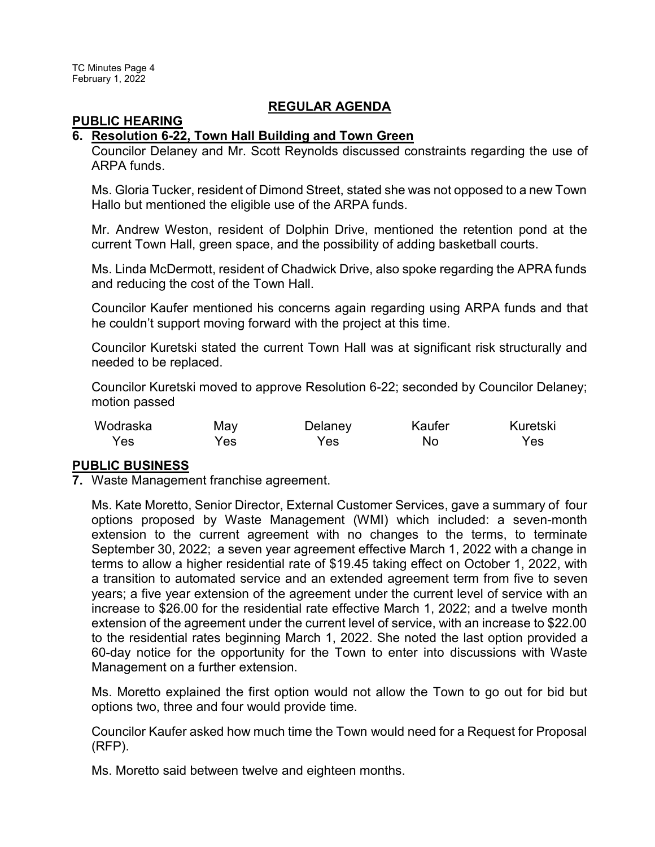### **REGULAR AGENDA**

#### **PUBLIC HEARING**

### **6. Resolution 6-22, Town Hall Building and Town Green**

Councilor Delaney and Mr. Scott Reynolds discussed constraints regarding the use of ARPA funds.

Ms. Gloria Tucker, resident of Dimond Street, stated she was not opposed to a new Town Hallo but mentioned the eligible use of the ARPA funds.

Mr. Andrew Weston, resident of Dolphin Drive, mentioned the retention pond at the current Town Hall, green space, and the possibility of adding basketball courts.

Ms. Linda McDermott, resident of Chadwick Drive, also spoke regarding the APRA funds and reducing the cost of the Town Hall.

Councilor Kaufer mentioned his concerns again regarding using ARPA funds and that he couldn't support moving forward with the project at this time.

Councilor Kuretski stated the current Town Hall was at significant risk structurally and needed to be replaced.

Councilor Kuretski moved to approve Resolution 6-22; seconded by Councilor Delaney; motion passed

| Wodraska | May | Delaney | Kaufer | Kuretski |
|----------|-----|---------|--------|----------|
| Yes      | Yes | Yes     | No     | Yes      |

# **PUBLIC BUSINESS**

**7.** Waste Management franchise agreement.

Ms. Kate Moretto, Senior Director, External Customer Services, gave a summary of four options proposed by Waste Management (WMI) which included: a seven-month extension to the current agreement with no changes to the terms, to terminate September 30, 2022; a seven year agreement effective March 1, 2022 with a change in terms to allow a higher residential rate of \$19.45 taking effect on October 1, 2022, with a transition to automated service and an extended agreement term from five to seven years; a five year extension of the agreement under the current level of service with an increase to \$26.00 for the residential rate effective March 1, 2022; and a twelve month extension of the agreement under the current level of service, with an increase to \$22.00 to the residential rates beginning March 1, 2022. She noted the last option provided a 60-day notice for the opportunity for the Town to enter into discussions with Waste Management on a further extension.

Ms. Moretto explained the first option would not allow the Town to go out for bid but options two, three and four would provide time.

Councilor Kaufer asked how much time the Town would need for a Request for Proposal (RFP).

Ms. Moretto said between twelve and eighteen months.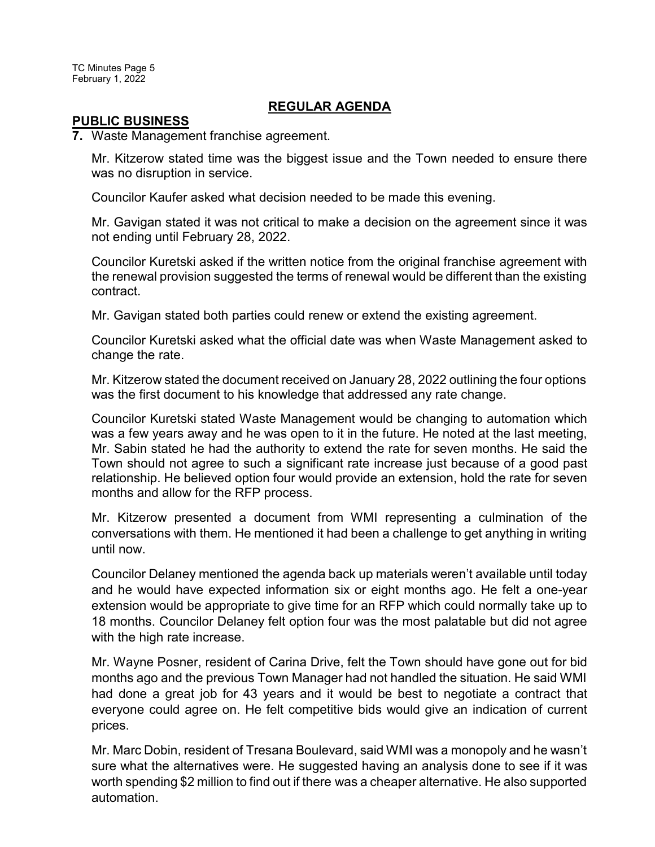TC Minutes Page 5 February 1, 2022

### **REGULAR AGENDA**

#### **PUBLIC BUSINESS**

**7.** Waste Management franchise agreement.

Mr. Kitzerow stated time was the biggest issue and the Town needed to ensure there was no disruption in service.

Councilor Kaufer asked what decision needed to be made this evening.

Mr. Gavigan stated it was not critical to make a decision on the agreement since it was not ending until February 28, 2022.

Councilor Kuretski asked if the written notice from the original franchise agreement with the renewal provision suggested the terms of renewal would be different than the existing contract.

Mr. Gavigan stated both parties could renew or extend the existing agreement.

Councilor Kuretski asked what the official date was when Waste Management asked to change the rate.

Mr. Kitzerow stated the document received on January 28, 2022 outlining the four options was the first document to his knowledge that addressed any rate change.

Councilor Kuretski stated Waste Management would be changing to automation which was a few years away and he was open to it in the future. He noted at the last meeting, Mr. Sabin stated he had the authority to extend the rate for seven months. He said the Town should not agree to such a significant rate increase just because of a good past relationship. He believed option four would provide an extension, hold the rate for seven months and allow for the RFP process.

Mr. Kitzerow presented a document from WMI representing a culmination of the conversations with them. He mentioned it had been a challenge to get anything in writing until now.

Councilor Delaney mentioned the agenda back up materials weren't available until today and he would have expected information six or eight months ago. He felt a one-year extension would be appropriate to give time for an RFP which could normally take up to 18 months. Councilor Delaney felt option four was the most palatable but did not agree with the high rate increase.

Mr. Wayne Posner, resident of Carina Drive, felt the Town should have gone out for bid months ago and the previous Town Manager had not handled the situation. He said WMI had done a great job for 43 years and it would be best to negotiate a contract that everyone could agree on. He felt competitive bids would give an indication of current prices.

Mr. Marc Dobin, resident of Tresana Boulevard, said WMI was a monopoly and he wasn't sure what the alternatives were. He suggested having an analysis done to see if it was worth spending \$2 million to find out if there was a cheaper alternative. He also supported automation.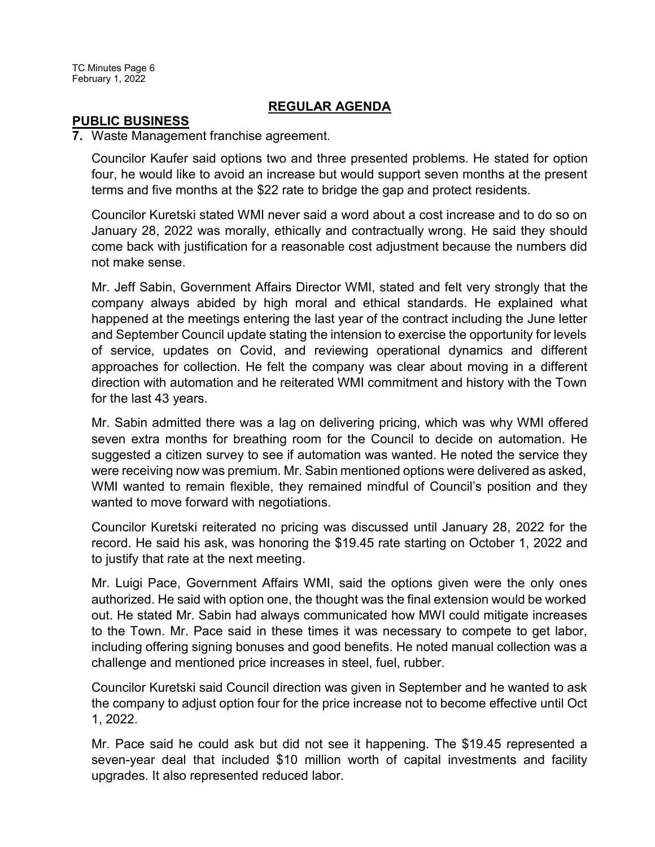# **REGULAR AGENDA**

### **PUBLIC BUSINESS**

### **7.** Waste Management franchise agreement.

Councilor Kaufer said options two and three presented problems. He stated for option four, he would like to avoid an increase but would support seven months at the present terms and five months at the \$22 rate to bridge the gap and protect residents.

Councilor Kuretski stated WMI never said a word about a cost increase and to do so on January 28, 2022 was morally, ethically and contractually wrong. He said they should come back with justification for a reasonable cost adjustment because the numbers did not make sense.

Mr. Jeff Sabin, Government Affairs Director WMI, stated and felt very strongly that the company always abided by high moral and ethical standards. He explained what happened at the meetings entering the last year of the contract including the June letter and September Council update stating the intension to exercise the opportunity for levels of service, updates on Covid, and reviewing operational dynamics and different approaches for collection. He felt the company was clear about moving in a different direction with automation and he reiterated WMI commitment and history with the Town for the last 43 years.

Mr. Sabin admitted there was a lag on delivering pricing, which was why WMI offered seven extra months for breathing room for the Council to decide on automation. He suggested a citizen survey to see if automation was wanted. He noted the service they were receiving now was premium. Mr. Sabin mentioned options were delivered as asked, WMI wanted to remain flexible, they remained mindful of Council's position and they wanted to move forward with negotiations.

Councilor Kuretski reiterated no pricing was discussed until January 28, 2022 for the record. He said his ask, was honoring the \$19.45 rate starting on October 1, 2022 and to justify that rate at the next meeting.

Mr. Luigi Pace, Government Affairs WMI, said the options given were the only ones authorized. He said with option one, the thought was the final extension would be worked out. He stated Mr. Sabin had always communicated how MWI could mitigate increases to the Town. Mr. Pace said in these times it was necessary to compete to get labor, including offering signing bonuses and good benefits. He noted manual collection was a challenge and mentioned price increases in steel, fuel, rubber.

Councilor Kuretski said Council direction was given in September and he wanted to ask the company to adjust option four for the price increase not to become effective until Oct 1, 2022.

Mr. Pace said he could ask but did not see it happening. The \$19.45 represented a seven-year deal that included \$10 million worth of capital investments and facility upgrades. It also represented reduced labor.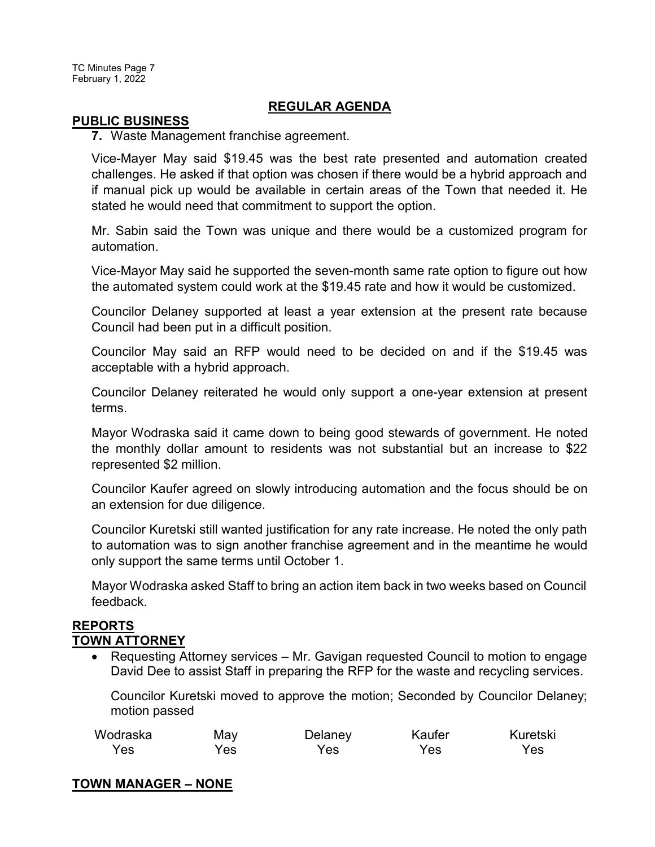TC Minutes Page 7 February 1, 2022

### **REGULAR AGENDA**

#### **PUBLIC BUSINESS**

**7.** Waste Management franchise agreement.

Vice-Mayer May said \$19.45 was the best rate presented and automation created challenges. He asked if that option was chosen if there would be a hybrid approach and if manual pick up would be available in certain areas of the Town that needed it. He stated he would need that commitment to support the option.

Mr. Sabin said the Town was unique and there would be a customized program for automation.

Vice-Mayor May said he supported the seven-month same rate option to figure out how the automated system could work at the \$19.45 rate and how it would be customized.

Councilor Delaney supported at least a year extension at the present rate because Council had been put in a difficult position.

Councilor May said an RFP would need to be decided on and if the \$19.45 was acceptable with a hybrid approach.

Councilor Delaney reiterated he would only support a one-year extension at present terms.

Mayor Wodraska said it came down to being good stewards of government. He noted the monthly dollar amount to residents was not substantial but an increase to \$22 represented \$2 million.

Councilor Kaufer agreed on slowly introducing automation and the focus should be on an extension for due diligence.

Councilor Kuretski still wanted justification for any rate increase. He noted the only path to automation was to sign another franchise agreement and in the meantime he would only support the same terms until October 1.

Mayor Wodraska asked Staff to bring an action item back in two weeks based on Council feedback.

### **REPORTS TOWN ATTORNEY**

· Requesting Attorney services – Mr. Gavigan requested Council to motion to engage David Dee to assist Staff in preparing the RFP for the waste and recycling services.

Councilor Kuretski moved to approve the motion; Seconded by Councilor Delaney; motion passed

| Wodraska | May | Delaney | Kaufer | Kuretski |
|----------|-----|---------|--------|----------|
| Yes      | Yes | Yes     | Yes    | Yes      |

# **TOWN MANAGER – NONE**